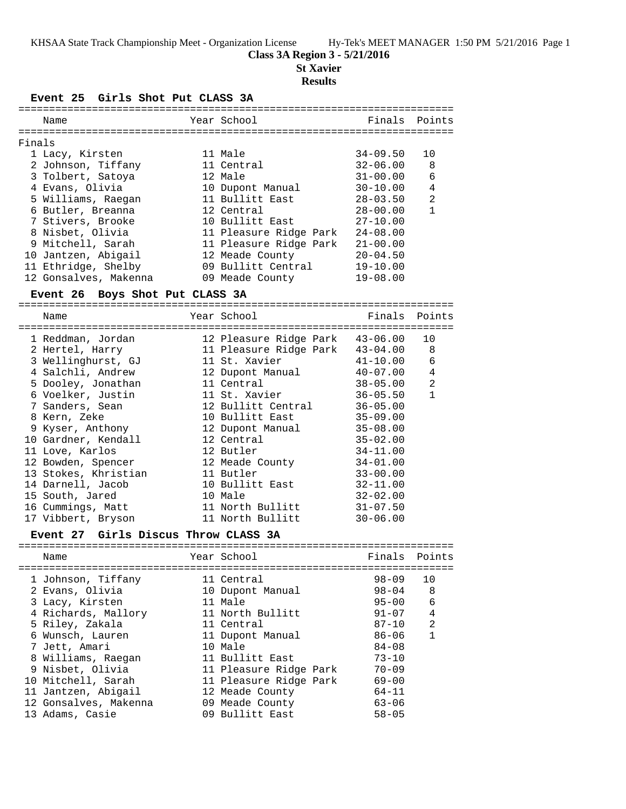## **Class 3A Region 3 - 5/21/2016**

**St Xavier**

#### **Results**

**Event 25 Girls Shot Put CLASS 3A**

|        | Name                  | Year School            | Finals Points |                |
|--------|-----------------------|------------------------|---------------|----------------|
| Finals |                       |                        |               |                |
|        | 1 Lacy, Kirsten       | 11 Male                | $34 - 09.50$  | 10             |
|        | 2 Johnson, Tiffany    | 11 Central             | $32 - 06.00$  | 8              |
|        | 3 Tolbert, Satoya     | 12 Male                | $31 - 00.00$  | 6              |
|        | 4 Evans, Olivia       | 10 Dupont Manual       | $30 - 10.00$  | $\overline{4}$ |
|        | 5 Williams, Raegan    | 11 Bullitt East        | $28 - 03.50$  | $\mathfrak{D}$ |
|        | 6 Butler, Breanna     | 12 Central             | $28 - 00.00$  | $\mathbf{1}$   |
|        | 7 Stivers, Brooke     | 10 Bullitt East        | $27 - 10.00$  |                |
|        | 8 Nisbet, Olivia      | 11 Pleasure Ridge Park | $24 - 08.00$  |                |
|        | 9 Mitchell, Sarah     | 11 Pleasure Ridge Park | $21 - 00.00$  |                |
|        | 10 Jantzen, Abigail   | 12 Meade County        | $20 - 04.50$  |                |
|        | 11 Ethridge, Shelby   | 09 Bullitt Central     | $19 - 10.00$  |                |
|        | 12 Gonsalves, Makenna | 09 Meade County        | $19 - 08.00$  |                |
|        |                       |                        |               |                |

**Event 26 Boys Shot Put CLASS 3A** ======================================================================= Name **The School School** Finals Points ======================================================================= 1 Reddman, Jordan 12 Pleasure Ridge Park 43-06.00 10 2 Hertel, Harry 11 Pleasure Ridge Park 43-04.00 8 3 Wellinghurst, GJ 11 St. Xavier 41-10.00 6 4 Salchli, Andrew 12 Dupont Manual 40-07.00 4 5 Dooley, Jonathan 11 Central 38-05.00 2 6 Voelker, Justin 11 St. Xavier 36-05.50 1 7 Sanders, Sean 12 Bullitt Central 36-05.00 8 Kern, Zeke 10 Bullitt East 35-09.00 9 Kyser, Anthony 12 Dupont Manual 35-08.00 10 Gardner, Kendall 12 Central 35-02.00 11 Love, Karlos 12 Butler 34-11.00 12 Bowden, Spencer 12 Meade County 34-01.00 13 Stokes, Khristian 11 Butler 33-00.00 14 Darnell, Jacob 10 Bullitt East 32-11.00 15 South, Jared 10 Male 32-02.00 16 Cummings, Matt 11 North Bullitt 31-07.50

### **Event 27 Girls Discus Throw CLASS 3A**

17 Vibbert, Bryson 11 North Bullitt 30-06.00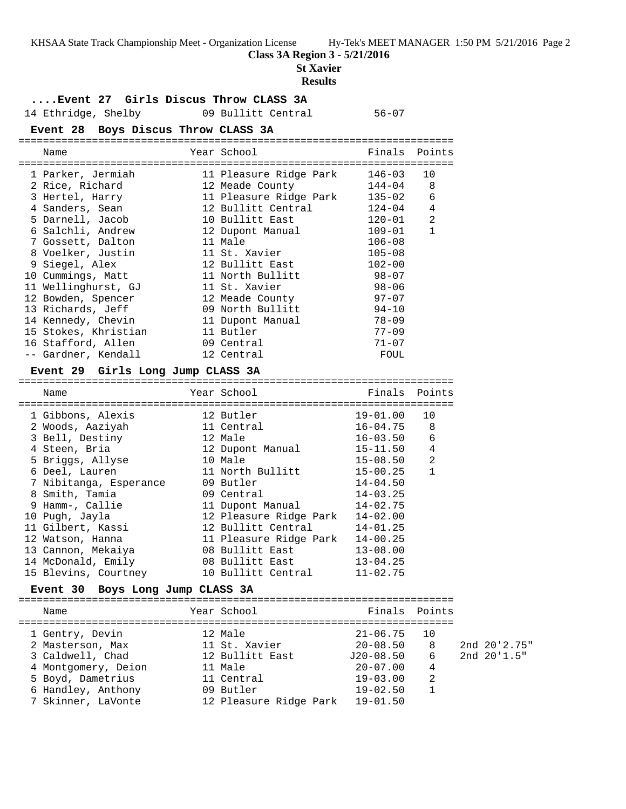**Class 3A Region 3 - 5/21/2016**

**St Xavier**

#### **Results**

### **....Event 27 Girls Discus Throw CLASS 3A**

14 Ethridge, Shelby 09 Bullitt Central 56-07

## **Event 28 Boys Discus Throw CLASS 3A**

======================================================================= Name The Year School The Finals Points =======================================================================

| 1 Parker, Jermiah    | 11 Pleasure Ridge Park | 146-03       | 10             |
|----------------------|------------------------|--------------|----------------|
| 2 Rice, Richard      | 12 Meade County        | $144 - 04$ 8 |                |
| 3 Hertel, Harry      | 11 Pleasure Ridge Park | $135 - 02$   | 6              |
| 4 Sanders, Sean      | 12 Bullitt Central     | $124 - 04$   | $\overline{4}$ |
| 5 Darnell, Jacob     | 10 Bullitt East        | $120 - 01$   | 2              |
| 6 Salchli, Andrew    | 12 Dupont Manual       | $109 - 01$   | $\mathbf{1}$   |
| 7 Gossett, Dalton    | 11 Male                | $106 - 08$   |                |
| 8 Voelker, Justin    | 11 St. Xavier          | $105 - 08$   |                |
| 9 Siegel, Alex       | 12 Bullitt East        | $102 - 00$   |                |
| 10 Cummings, Matt    | 11 North Bullitt       | $98 - 07$    |                |
| 11 Wellinghurst, GJ  | 11 St. Xavier          | $98 - 06$    |                |
| 12 Bowden, Spencer   | 12 Meade County        | $97 - 07$    |                |
| 13 Richards, Jeff    | 09 North Bullitt       | $94 - 10$    |                |
| 14 Kennedy, Chevin   | 11 Dupont Manual       | $78 - 09$    |                |
| 15 Stokes, Khristian | 11 Butler              | $77 - 09$    |                |
| 16 Stafford, Allen   | 09 Central             | $71 - 07$    |                |
| -- Gardner, Kendall  | 12 Central             | FOUL         |                |

## **Event 29 Girls Long Jump CLASS 3A**

======================================================================= Name The Year School The Finals Points ======================================================================= 1 Gibbons, Alexis 12 Butler 19-01.00 10 2 Woods, Aaziyah 11 Central 16-04.75 8 3 Bell, Destiny 12 Male 16-03.50 6 4 Steen, Bria 12 Dupont Manual 15-11.50 4 5 Briggs, Allyse 10 Male 15-08.50 2 6 Deel, Lauren 11 North Bullitt 15-00.25 1 7 Nibitanga, Esperance 09 Butler 14-04.50 8 Smith, Tamia 09 Central 14-03.25 9 Hamm-, Callie 11 Dupont Manual 14-02.75 10 Pugh, Jayla 12 Pleasure Ridge Park 14-02.00 11 Gilbert, Kassi 12 Bullitt Central 14-01.25 12 Watson, Hanna 11 Pleasure Ridge Park 14-00.25 13 Cannon, Mekaiya 08 Bullitt East 13-08.00 14 McDonald, Emily 08 Bullitt East 13-04.25 15 Blevins, Courtney 10 Bullitt Central 11-02.75

### **Event 30 Boys Long Jump CLASS 3A**

======================================================================= Name Tear School Tear School Finals Points ======================================================================= 1 Gentry, Devin 12 Male 21-06.75 10 2 Masterson, Max 11 St. Xavier 20-08.50 8 2nd 20'2.75" 3 Caldwell, Chad 12 Bullitt East J20-08.50 6 2nd 20'1.5" 4 Montgomery, Deion 11 Male 20-07.00 4 5 Boyd, Dametrius 11 Central 19-03.00 2 6 Handley, Anthony 09 Butler 19-02.50 1 7 Skinner, LaVonte 12 Pleasure Ridge Park 19-01.50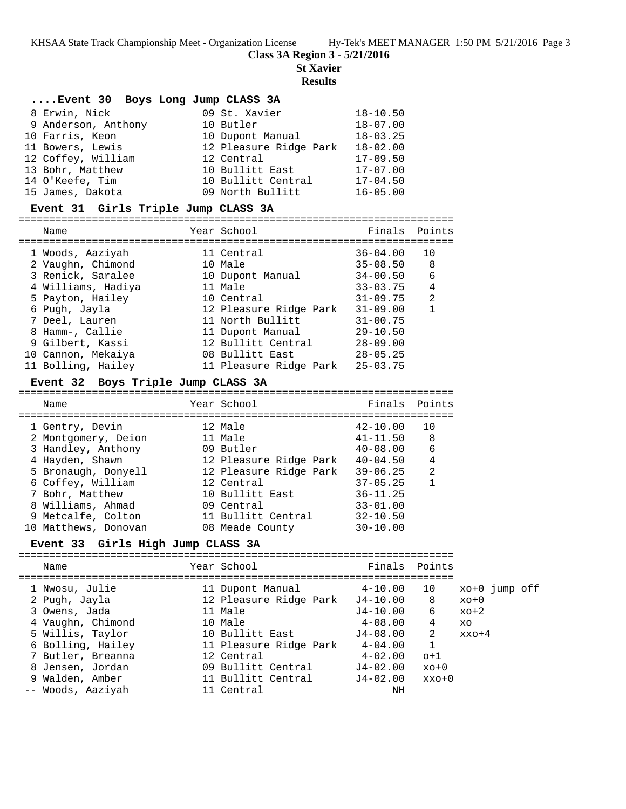**Class 3A Region 3 - 5/21/2016**

**St Xavier**

## **Results**

## **....Event 30 Boys Long Jump CLASS 3A**

| 8 Erwin, Nick       | 09 St. Xavier          | $18 - 10.50$ |
|---------------------|------------------------|--------------|
| 9 Anderson, Anthony | 10 Butler              | $18 - 07.00$ |
| 10 Farris, Keon     | 10 Dupont Manual       | $18 - 03.25$ |
| 11 Bowers, Lewis    | 12 Pleasure Ridge Park | $18 - 02.00$ |
| 12 Coffey, William  | 12 Central             | $17 - 09.50$ |
| 13 Bohr, Matthew    | 10 Bullitt East        | $17 - 07.00$ |
| 14 O'Keefe, Tim     | 10 Bullitt Central     | $17 - 04.50$ |
| 15 James, Dakota    | 09 North Bullitt       | $16 - 05.00$ |

# **Event 31 Girls Triple Jump CLASS 3A**

|   | Name               | Year School            | Finals Points |                |
|---|--------------------|------------------------|---------------|----------------|
|   | 1 Woods, Aaziyah   | 11 Central             | $36 - 04.00$  | 10             |
|   | 2 Vaughn, Chimond  | 10 Male                | $35 - 08.50$  | 8              |
|   | 3 Renick, Saralee  | 10 Dupont Manual       | $34 - 00.50$  | 6              |
|   | 4 Williams, Hadiya | 11 Male                | $33 - 03.75$  | $\overline{4}$ |
|   | 5 Payton, Hailey   | 10 Central             | $31 - 09.75$  | $\mathfrak{D}$ |
|   | 6 Pugh, Jayla      | 12 Pleasure Ridge Park | $31 - 09.00$  |                |
|   | 7 Deel, Lauren     | 11 North Bullitt       | $31 - 00.75$  |                |
| 8 | Hamm-, Callie      | 11 Dupont Manual       | $29 - 10.50$  |                |
|   | 9 Gilbert, Kassi   | 12 Bullitt Central     | $28 - 09.00$  |                |
|   | 10 Cannon, Mekaiya | 08 Bullitt East        | $28 - 05.25$  |                |
|   | 11 Bolling, Hailey | 11 Pleasure Ridge Park | $25 - 03.75$  |                |

# **Event 32 Boys Triple Jump CLASS 3A**

| Name                 | Year School            | Finals       | Points         |
|----------------------|------------------------|--------------|----------------|
| 1 Gentry, Devin      | 12 Male                | $42 - 10.00$ | 10             |
| 2 Montgomery, Deion  | 11 Male                | $41 - 11.50$ | 8              |
| 3 Handley, Anthony   | 09 Butler              | $40 - 08.00$ | 6              |
| 4 Hayden, Shawn      | 12 Pleasure Ridge Park | $40 - 04.50$ | $\overline{4}$ |
| 5 Bronaugh, Donyell  | 12 Pleasure Ridge Park | $39 - 06.25$ | $\mathfrak{D}$ |
| 6 Coffey, William    | 12 Central             | $37 - 05.25$ | 1              |
| 7 Bohr, Matthew      | 10 Bullitt East        | $36 - 11.25$ |                |
| 8 Williams, Ahmad    | 09 Central             | $33 - 01.00$ |                |
| 9 Metcalfe, Colton   | 11 Bullitt Central     | $32 - 10.50$ |                |
| 10 Matthews, Donovan | 08 Meade County        | $30 - 10.00$ |                |
|                      |                        |              |                |

# **Event 33 Girls High Jump CLASS 3A**

| Name                                                                                                                                                                                            | Year School                                                                                                                                                                           | Finals Points                                                                                                                                  |                                                           |                                                    |  |
|-------------------------------------------------------------------------------------------------------------------------------------------------------------------------------------------------|---------------------------------------------------------------------------------------------------------------------------------------------------------------------------------------|------------------------------------------------------------------------------------------------------------------------------------------------|-----------------------------------------------------------|----------------------------------------------------|--|
| 1 Nwosu, Julie<br>2 Pugh, Jayla<br>3 Owens, Jada<br>4 Vaughn, Chimond<br>5 Willis, Taylor<br>6 Bolling, Hailey<br>7 Butler, Breanna<br>8 Jensen, Jordan<br>9 Walden, Amber<br>-- Woods, Aaziyah | 11 Dupont Manual<br>12 Pleasure Ridge Park<br>11 Male<br>10 Male<br>10 Bullitt East<br>11 Pleasure Ridge Park<br>12 Central<br>09 Bullitt Central<br>11 Bullitt Central<br>11 Central | $4 - 10.00$<br>$J4 - 10.00$<br>$J4 - 10.00$<br>$4 - 08.00$<br>$J4 - 08.00$<br>$4 - 04.00$<br>$4 - 02.00$<br>$J4 - 02.00$<br>$J4 - 02.00$<br>ΝH | 10<br>8<br>6<br>4<br>2<br>1<br>$o+1$<br>$xo+0$<br>$xxo+0$ | xo+0 jump off<br>$xo+0$<br>$xo+2$<br>XO<br>$xxo+4$ |  |
|                                                                                                                                                                                                 |                                                                                                                                                                                       |                                                                                                                                                |                                                           |                                                    |  |